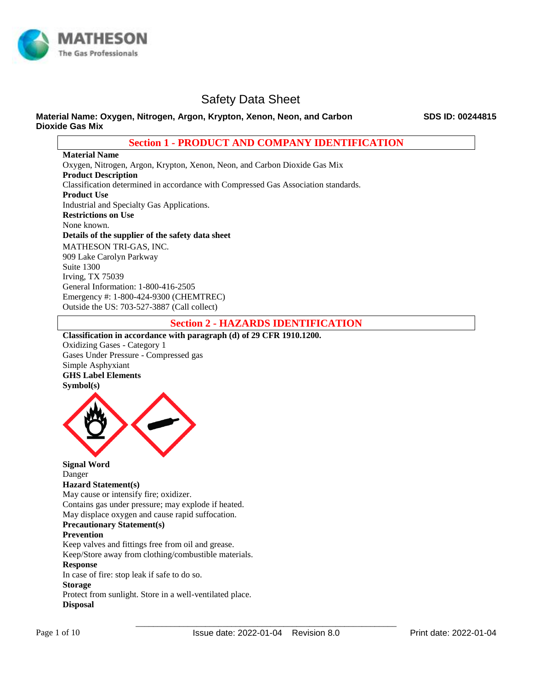

#### **Material Name: Oxygen, Nitrogen, Argon, Krypton, Xenon, Neon, and Carbon Dioxide Gas Mix**

**Section 1 - PRODUCT AND COMPANY IDENTIFICATION**

**Material Name**  Oxygen, Nitrogen, Argon, Krypton, Xenon, Neon, and Carbon Dioxide Gas Mix **Product Description**  Classification determined in accordance with Compressed Gas Association standards. **Product Use** Industrial and Specialty Gas Applications. **Restrictions on Use** None known. **Details of the supplier of the safety data sheet** MATHESON TRI-GAS, INC. 909 Lake Carolyn Parkway Suite 1300 Irving, TX 75039

General Information: 1-800-416-2505 Emergency #: 1-800-424-9300 (CHEMTREC) Outside the US: 703-527-3887 (Call collect)

## **Section 2 - HAZARDS IDENTIFICATION**

# **Classification in accordance with paragraph (d) of 29 CFR 1910.1200.**  Oxidizing Gases - Category 1 Gases Under Pressure - Compressed gas Simple Asphyxiant **GHS Label Elements Symbol(s)**



**Signal Word**  Danger **Hazard Statement(s)**  May cause or intensify fire; oxidizer. Contains gas under pressure; may explode if heated. May displace oxygen and cause rapid suffocation. **Precautionary Statement(s) Prevention**  Keep valves and fittings free from oil and grease. Keep/Store away from clothing/combustible materials. **Response**  In case of fire: stop leak if safe to do so.

**Storage** 

Protect from sunlight. Store in a well-ventilated place. **Disposal**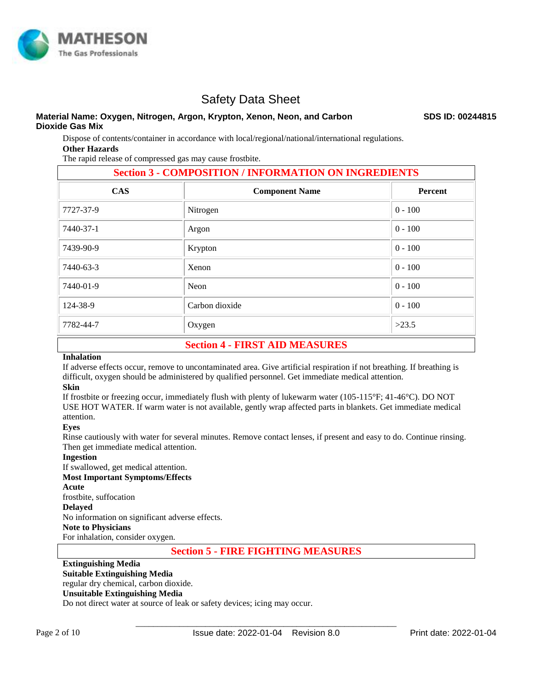

#### **Material Name: Oxygen, Nitrogen, Argon, Krypton, Xenon, Neon, and Carbon Dioxide Gas Mix**

**SDS ID: 00244815**

Dispose of contents/container in accordance with local/regional/national/international regulations. **Other Hazards** 

The rapid release of compressed gas may cause frostbite.

| <b>Section 3 - COMPOSITION / INFORMATION ON INGREDIENTS</b> |           |  |  |  |  |  |  |  |
|-------------------------------------------------------------|-----------|--|--|--|--|--|--|--|
| <b>Component Name</b>                                       | Percent   |  |  |  |  |  |  |  |
| Nitrogen                                                    | $0 - 100$ |  |  |  |  |  |  |  |
| Argon                                                       | $0 - 100$ |  |  |  |  |  |  |  |
| Krypton                                                     | $0 - 100$ |  |  |  |  |  |  |  |
| Xenon                                                       | $0 - 100$ |  |  |  |  |  |  |  |
| Neon                                                        | $0 - 100$ |  |  |  |  |  |  |  |
| Carbon dioxide                                              | $0 - 100$ |  |  |  |  |  |  |  |
| Oxygen                                                      | >23.5     |  |  |  |  |  |  |  |
|                                                             |           |  |  |  |  |  |  |  |

# **Section 4 - FIRST AID MEASURES**

#### **Inhalation**

If adverse effects occur, remove to uncontaminated area. Give artificial respiration if not breathing. If breathing is difficult, oxygen should be administered by qualified personnel. Get immediate medical attention.

### **Skin**

If frostbite or freezing occur, immediately flush with plenty of lukewarm water (105-115°F; 41-46°C). DO NOT USE HOT WATER. If warm water is not available, gently wrap affected parts in blankets. Get immediate medical attention.

#### **Eyes**

Rinse cautiously with water for several minutes. Remove contact lenses, if present and easy to do. Continue rinsing. Then get immediate medical attention.

#### **Ingestion**

If swallowed, get medical attention.

#### **Most Important Symptoms/Effects**

**Acute** 

frostbite, suffocation

#### **Delayed**

No information on significant adverse effects.

### **Note to Physicians**

For inhalation, consider oxygen.

# **Section 5 - FIRE FIGHTING MEASURES**

#### **Extinguishing Media Suitable Extinguishing Media**

regular dry chemical, carbon dioxide. **Unsuitable Extinguishing Media**

Do not direct water at source of leak or safety devices; icing may occur.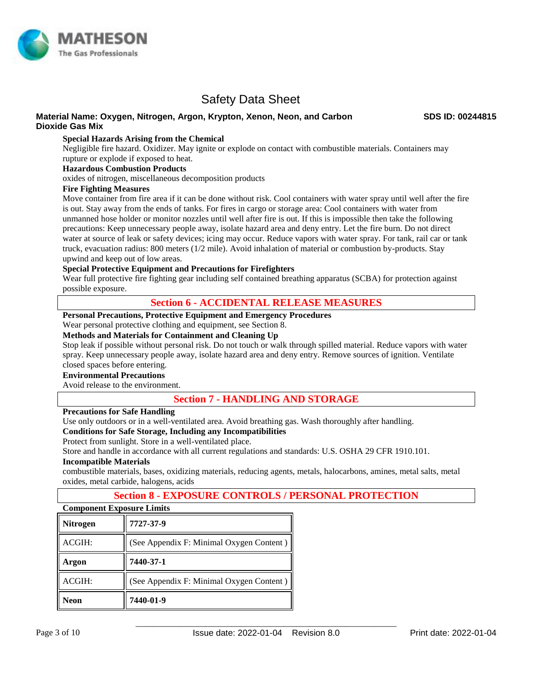

#### **Material Name: Oxygen, Nitrogen, Argon, Krypton, Xenon, Neon, and Carbon Dioxide Gas Mix**

**SDS ID: 00244815**

#### **Special Hazards Arising from the Chemical**

Negligible fire hazard. Oxidizer. May ignite or explode on contact with combustible materials. Containers may rupture or explode if exposed to heat.

#### **Hazardous Combustion Products**

oxides of nitrogen, miscellaneous decomposition products

#### **Fire Fighting Measures**

Move container from fire area if it can be done without risk. Cool containers with water spray until well after the fire is out. Stay away from the ends of tanks. For fires in cargo or storage area: Cool containers with water from unmanned hose holder or monitor nozzles until well after fire is out. If this is impossible then take the following precautions: Keep unnecessary people away, isolate hazard area and deny entry. Let the fire burn. Do not direct water at source of leak or safety devices; icing may occur. Reduce vapors with water spray. For tank, rail car or tank truck, evacuation radius: 800 meters (1/2 mile). Avoid inhalation of material or combustion by-products. Stay upwind and keep out of low areas.

#### **Special Protective Equipment and Precautions for Firefighters**

Wear full protective fire fighting gear including self contained breathing apparatus (SCBA) for protection against possible exposure.

### **Section 6 - ACCIDENTAL RELEASE MEASURES**

#### **Personal Precautions, Protective Equipment and Emergency Procedures**

Wear personal protective clothing and equipment, see Section 8.

#### **Methods and Materials for Containment and Cleaning Up**

Stop leak if possible without personal risk. Do not touch or walk through spilled material. Reduce vapors with water spray. Keep unnecessary people away, isolate hazard area and deny entry. Remove sources of ignition. Ventilate closed spaces before entering.

#### **Environmental Precautions**

Avoid release to the environment.

## **Section 7 - HANDLING AND STORAGE**

#### **Precautions for Safe Handling**

Use only outdoors or in a well-ventilated area. Avoid breathing gas. Wash thoroughly after handling.

#### **Conditions for Safe Storage, Including any Incompatibilities**

Protect from sunlight. Store in a well-ventilated place.

Store and handle in accordance with all current regulations and standards: U.S. OSHA 29 CFR 1910.101. **Incompatible Materials** 

combustible materials, bases, oxidizing materials, reducing agents, metals, halocarbons, amines, metal salts, metal oxides, metal carbide, halogens, acids

## **Section 8 - EXPOSURE CONTROLS / PERSONAL PROTECTION**

# **Component Exposure Limits**

| <b>Nitrogen</b> | 7727-37-9                                |
|-----------------|------------------------------------------|
| ACGIH:          | (See Appendix F: Minimal Oxygen Content) |
| Argon           | 7440-37-1                                |
| ACGIH:          | (See Appendix F: Minimal Oxygen Content) |
| <b>Neon</b>     | 7440-01-9                                |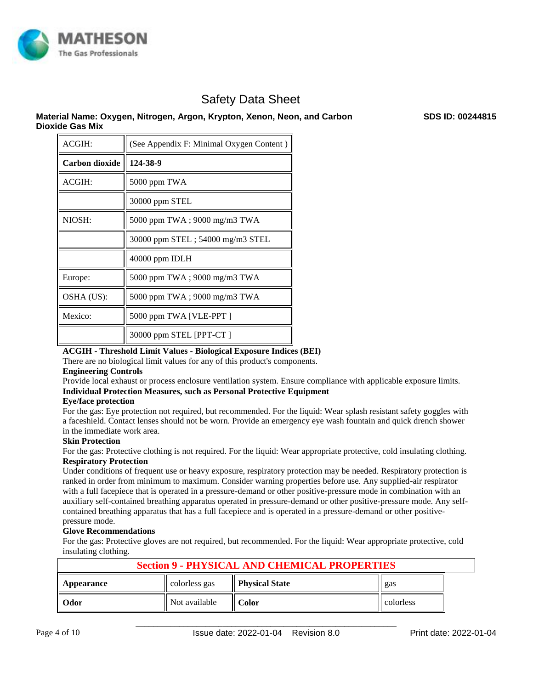

### **Material Name: Oxygen, Nitrogen, Argon, Krypton, Xenon, Neon, and Carbon Dioxide Gas Mix**

| ACGIH:         | (See Appendix F: Minimal Oxygen Content) |
|----------------|------------------------------------------|
| Carbon dioxide | 124-38-9                                 |
| ACGIH:         | 5000 ppm TWA                             |
|                | 30000 ppm STEL                           |
| NIOSH:         | 5000 ppm TWA; 9000 mg/m3 TWA             |
|                | 30000 ppm STEL; 54000 mg/m3 STEL         |
|                | 40000 ppm IDLH                           |
| Europe:        | 5000 ppm TWA; 9000 mg/m3 TWA             |
| OSHA (US):     | 5000 ppm TWA; 9000 mg/m3 TWA             |
| Mexico:        | 5000 ppm TWA [VLE-PPT]                   |
|                | 30000 ppm STEL [PPT-CT]                  |

#### **ACGIH - Threshold Limit Values - Biological Exposure Indices (BEI)**

There are no biological limit values for any of this product's components.

#### **Engineering Controls**

Provide local exhaust or process enclosure ventilation system. Ensure compliance with applicable exposure limits. **Individual Protection Measures, such as Personal Protective Equipment** 

#### **Eye/face protection**

For the gas: Eye protection not required, but recommended. For the liquid: Wear splash resistant safety goggles with a faceshield. Contact lenses should not be worn. Provide an emergency eye wash fountain and quick drench shower in the immediate work area.

#### **Skin Protection**

For the gas: Protective clothing is not required. For the liquid: Wear appropriate protective, cold insulating clothing. **Respiratory Protection**

Under conditions of frequent use or heavy exposure, respiratory protection may be needed. Respiratory protection is ranked in order from minimum to maximum. Consider warning properties before use. Any supplied-air respirator with a full facepiece that is operated in a pressure-demand or other positive-pressure mode in combination with an auxiliary self-contained breathing apparatus operated in pressure-demand or other positive-pressure mode. Any selfcontained breathing apparatus that has a full facepiece and is operated in a pressure-demand or other positivepressure mode.

#### **Glove Recommendations**

For the gas: Protective gloves are not required, but recommended. For the liquid: Wear appropriate protective, cold insulating clothing.

| <b>Section 9 - PHYSICAL AND CHEMICAL PROPERTIES</b> |               |              |           |  |  |  |  |  |  |
|-----------------------------------------------------|---------------|--------------|-----------|--|--|--|--|--|--|
| Appearance                                          | gas           |              |           |  |  |  |  |  |  |
| Odor                                                | Not available | <b>Color</b> | colorless |  |  |  |  |  |  |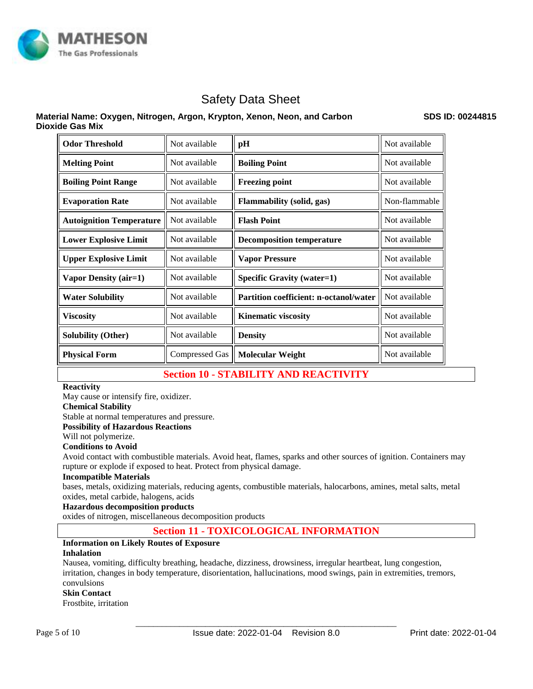

### **Material Name: Oxygen, Nitrogen, Argon, Krypton, Xenon, Neon, and Carbon Dioxide Gas Mix**

**SDS ID: 00244815**

| <b>Odor Threshold</b>           | Not available         | pН                                            | Not available |
|---------------------------------|-----------------------|-----------------------------------------------|---------------|
| <b>Melting Point</b>            | Not available         | <b>Boiling Point</b>                          | Not available |
| <b>Boiling Point Range</b>      | Not available         | <b>Freezing point</b>                         | Not available |
| <b>Evaporation Rate</b>         | Not available         | <b>Flammability (solid, gas)</b>              | Non-flammable |
| <b>Autoignition Temperature</b> | Not available         | <b>Flash Point</b>                            | Not available |
| <b>Lower Explosive Limit</b>    | Not available         | <b>Decomposition temperature</b>              | Not available |
| <b>Upper Explosive Limit</b>    | Not available         | <b>Vapor Pressure</b>                         | Not available |
| Vapor Density (air=1)           | Not available         | <b>Specific Gravity (water=1)</b>             | Not available |
| <b>Water Solubility</b>         | Not available         | <b>Partition coefficient: n-octanol/water</b> | Not available |
| <b>Viscosity</b>                | Not available         | <b>Kinematic viscosity</b>                    | Not available |
| <b>Solubility (Other)</b>       | Not available         | <b>Density</b>                                | Not available |
| <b>Physical Form</b>            | <b>Compressed Gas</b> | <b>Molecular Weight</b>                       | Not available |

# **Section 10 - STABILITY AND REACTIVITY**

#### **Reactivity**

May cause or intensify fire, oxidizer.

#### **Chemical Stability**

Stable at normal temperatures and pressure.

**Possibility of Hazardous Reactions**

#### Will not polymerize.

#### **Conditions to Avoid**

Avoid contact with combustible materials. Avoid heat, flames, sparks and other sources of ignition. Containers may rupture or explode if exposed to heat. Protect from physical damage.

#### **Incompatible Materials**

bases, metals, oxidizing materials, reducing agents, combustible materials, halocarbons, amines, metal salts, metal oxides, metal carbide, halogens, acids

#### **Hazardous decomposition products**

oxides of nitrogen, miscellaneous decomposition products

# **Section 11 - TOXICOLOGICAL INFORMATION**

# **Information on Likely Routes of Exposure**

#### **Inhalation**

Nausea, vomiting, difficulty breathing, headache, dizziness, drowsiness, irregular heartbeat, lung congestion, irritation, changes in body temperature, disorientation, hallucinations, mood swings, pain in extremities, tremors, convulsions

#### **Skin Contact**

Frostbite, irritation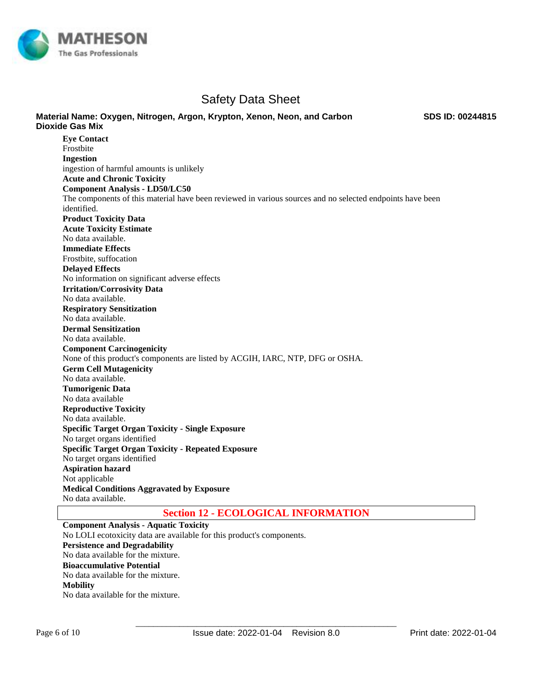

**Material Name: Oxygen, Nitrogen, Argon, Krypton, Xenon, Neon, and Carbon** 

**SDS ID: 00244815**

#### **Dioxide Gas Mix Eye Contact**  Frostbite **Ingestion**  ingestion of harmful amounts is unlikely **Acute and Chronic Toxicity Component Analysis - LD50/LC50**  The components of this material have been reviewed in various sources and no selected endpoints have been identified. **Product Toxicity Data Acute Toxicity Estimate**  No data available. **Immediate Effects**  Frostbite, suffocation **Delayed Effects**  No information on significant adverse effects **Irritation/Corrosivity Data**  No data available. **Respiratory Sensitization**  No data available. **Dermal Sensitization**  No data available. **Component Carcinogenicity**  None of this product's components are listed by ACGIH, IARC, NTP, DFG or OSHA. **Germ Cell Mutagenicity**  No data available. **Tumorigenic Data**  No data available **Reproductive Toxicity**  No data available. **Specific Target Organ Toxicity - Single Exposure**  No target organs identified **Specific Target Organ Toxicity - Repeated Exposure**  No target organs identified **Aspiration hazard**  Not applicable **Medical Conditions Aggravated by Exposure** No data available.

## **Section 12 - ECOLOGICAL INFORMATION**

**Component Analysis - Aquatic Toxicity**  No LOLI ecotoxicity data are available for this product's components. **Persistence and Degradability**  No data available for the mixture. **Bioaccumulative Potential**  No data available for the mixture. **Mobility**  No data available for the mixture.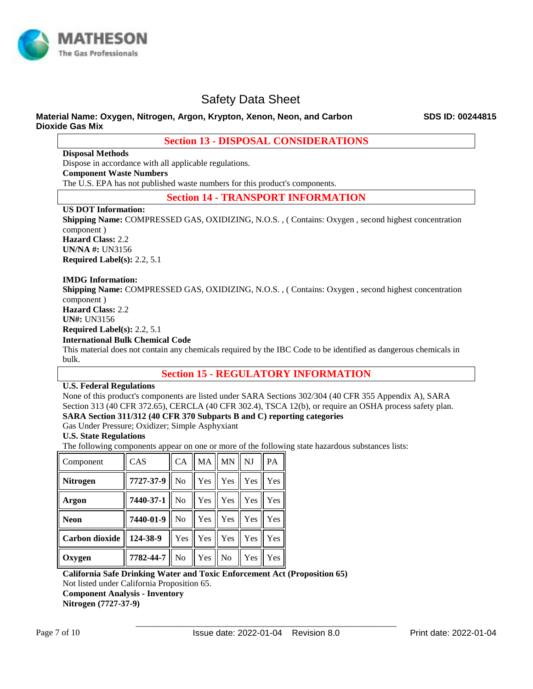

#### **Material Name: Oxygen, Nitrogen, Argon, Krypton, Xenon, Neon, and Carbon Dioxide Gas Mix**

**Section 13 - DISPOSAL CONSIDERATIONS**

**Disposal Methods**

Dispose in accordance with all applicable regulations. **Component Waste Numbers**  The U.S. EPA has not published waste numbers for this product's components.

**Section 14 - TRANSPORT INFORMATION**

### **US DOT Information:**

**Shipping Name:** COMPRESSED GAS, OXIDIZING, N.O.S. , ( Contains: Oxygen , second highest concentration component ) **Hazard Class:** 2.2 **UN/NA #:** UN3156 **Required Label(s):** 2.2, 5.1

#### **IMDG Information:**

**Shipping Name:** COMPRESSED GAS, OXIDIZING, N.O.S. , ( Contains: Oxygen , second highest concentration component ) **Hazard Class:** 2.2 **UN#:** UN3156 **Required Label(s):** 2.2, 5.1 **International Bulk Chemical Code** 

This material does not contain any chemicals required by the IBC Code to be identified as dangerous chemicals in bulk.

# **Section 15 - REGULATORY INFORMATION**

#### **U.S. Federal Regulations**

None of this product's components are listed under SARA Sections 302/304 (40 CFR 355 Appendix A), SARA Section 313 (40 CFR 372.65), CERCLA (40 CFR 302.4), TSCA 12(b), or require an OSHA process safety plan. **SARA Section 311/312 (40 CFR 370 Subparts B and C) reporting categories** 

Gas Under Pressure; Oxidizer; Simple Asphyxiant

#### **U.S. State Regulations**

The following components appear on one or more of the following state hazardous substances lists:

| Component             | <b>CAS</b>         | <b>CA</b>       | MA  | MN  | NJ   | PA         |
|-----------------------|--------------------|-----------------|-----|-----|------|------------|
| <b>Nitrogen</b>       | 7727-37-9          | No              | Yes | Yes | Yes  | Yes        |
| Argon                 | $7440 - 37 - 1$ No |                 | Yes | Yes | Yes  | Yes        |
| <b>Neon</b>           | $7440-01-9$   No   |                 | Yes | Yes | Yes  | Yes        |
| <b>Carbon dioxide</b> | 124-38-9           | Yes $\parallel$ | Yes | Yes | Yes  | Yes        |
| Oxygen                | $7782 - 44 - 7$ No |                 | Yes | No  | Yes. | <b>Yes</b> |

**California Safe Drinking Water and Toxic Enforcement Act (Proposition 65)** 

Not listed under California Proposition 65.

**Component Analysis - Inventory** 

**Nitrogen (7727-37-9)**

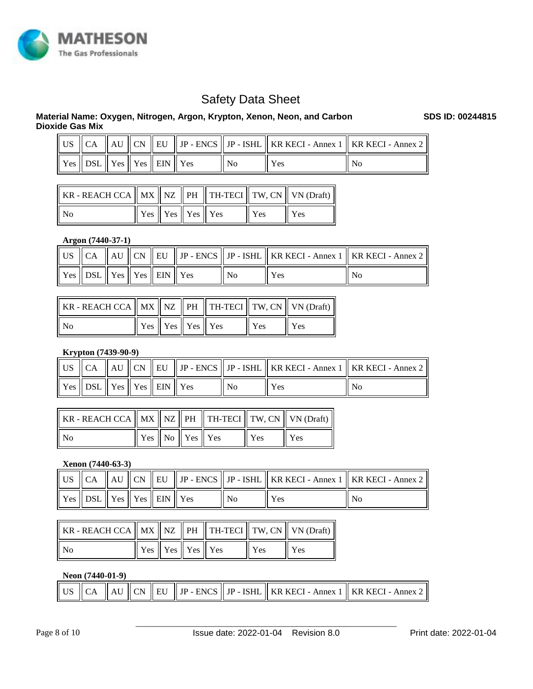

# **Material Name: Oxygen, Nitrogen, Argon, Krypton, Xenon, Neon, and Carbon Dioxide Gas Mix**

|                                                                                                 |  |  |                           | US $\parallel$ CA $\parallel$ AU $\parallel$ CN $\parallel$ EU $\parallel$ JP - ENCS $\parallel$ JP - ISHL $\parallel$ KR KECI - Annex 1 $\parallel$ KR KECI - Annex 2 $\parallel$ |    |
|-------------------------------------------------------------------------------------------------|--|--|---------------------------|------------------------------------------------------------------------------------------------------------------------------------------------------------------------------------|----|
| $\parallel$ Yes $\parallel$ DSL $\parallel$ Yes $\parallel$ Yes $\parallel$ EIN $\parallel$ Yes |  |  | $\mathbf{N}$ $\mathbf{N}$ | Yes                                                                                                                                                                                | No |

| $\ $ KR - REACH CCA $\ $ MX $\ $ NZ $\ $ PH $\ $ TH-TECI $\ $ TW, CN $\ $ VN (Draft) |                                                                 |  |            |     |
|--------------------------------------------------------------------------------------|-----------------------------------------------------------------|--|------------|-----|
| No                                                                                   | $\parallel$ Yes $\parallel$ Yes $\parallel$ Yes $\parallel$ Yes |  | <b>Yes</b> | Yes |

#### **Argon (7440-37-1)**

|                                                                                                 |  |  |                | US $\parallel$ CA $\parallel$ AU $\parallel$ CN $\parallel$ EU $\parallel$ JP - ENCS $\parallel$ JP - ISHL $\parallel$ KR KECI - Annex 1 $\parallel$ KR KECI - Annex 2 $\parallel$ |    |
|-------------------------------------------------------------------------------------------------|--|--|----------------|------------------------------------------------------------------------------------------------------------------------------------------------------------------------------------|----|
| $\parallel$ Yes $\parallel$ DSL $\parallel$ Yes $\parallel$ Yes $\parallel$ EIN $\parallel$ Yes |  |  | N <sub>0</sub> | Yes                                                                                                                                                                                | No |

| KR - REACH CCA $  $ MX $  $ NZ $  $ PH $  $ TH-TECI $  $ TW, CN $  $ VN (Draft) $  $ |  |                                                 |     |     |
|--------------------------------------------------------------------------------------|--|-------------------------------------------------|-----|-----|
| No                                                                                   |  | $\vert$ Yes $\vert$ Yes $\vert$ Yes $\vert$ Yes | Yes | Yes |

## **Krypton (7439-90-9)**

|                                        |  |  |    |     | US    CA    AU    CN    EU    JP - ENCS    JP - ISHL    KR KECI - Annex 1    KR KECI - Annex 2 |
|----------------------------------------|--|--|----|-----|------------------------------------------------------------------------------------------------|
| Yes    DSL    Yes    Yes    EIN    Yes |  |  | Nο | Yes | No                                                                                             |

| KR - REACH CCA    MX    NZ    PH      TH-TECI    TW, CN    VN (Draft) |                                                                |  |     |     |
|-----------------------------------------------------------------------|----------------------------------------------------------------|--|-----|-----|
| No                                                                    | $\parallel$ Yes $\parallel$ No $\parallel$ Yes $\parallel$ Yes |  | Yes | Yes |

### **Xenon (7440-63-3)**

|                                                                         |  |  |     | US    CA    AU    CN    EU    JP - ENCS    JP - ISHL    KR KECI - Annex 1    KR KECI - Annex 2 |      |
|-------------------------------------------------------------------------|--|--|-----|------------------------------------------------------------------------------------------------|------|
| $\vert$ Yes $\vert$ DSL $\vert$ Yes $\vert$ Yes $\vert$ EIN $\vert$ Yes |  |  | No. | Yes                                                                                            | l No |

| KR - REACH CCA $  $ MX $  $ NZ $  $ PH $  $ TH-TECI $  $ TW, CN $  $ VN (Draft) $  $ |                                                 |  |     |     |
|--------------------------------------------------------------------------------------|-------------------------------------------------|--|-----|-----|
| - No                                                                                 | $\vert$ Yes $\vert$ Yes $\vert$ Yes $\vert$ Yes |  | Yes | Yes |

#### **Neon (7440-01-9)**

|  | US    CA    AU    CN    EU    JP - ENCS    JP - ISHL    KR KECI - Annex 1    KR KECI - Annex 2 <sup> </sup> |
|--|-------------------------------------------------------------------------------------------------------------|
|--|-------------------------------------------------------------------------------------------------------------|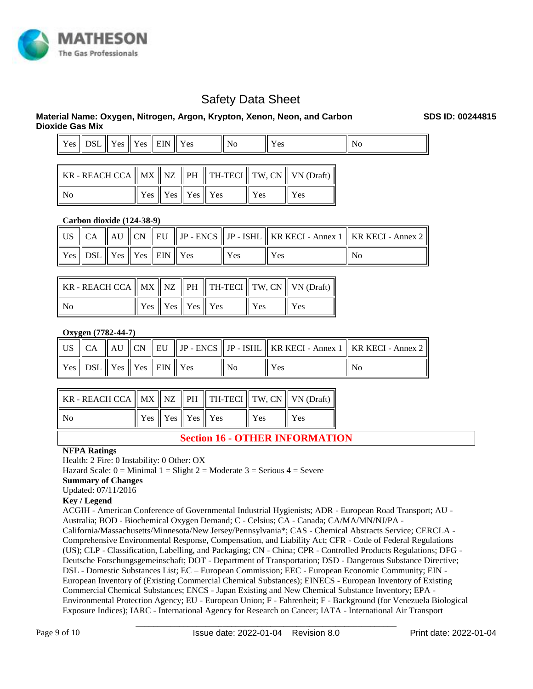

### **Material Name: Oxygen, Nitrogen, Argon, Krypton, Xenon, Neon, and Carbon Dioxide Gas Mix**

| $V_{\text{ec}}$<br><b>LUD</b> | $B^{\prime}$<br>້ | $\mathbf{v}$<br>Y es | $ -$<br>V oc<br>ັ<br><b>.</b> | <b>EIN</b><br>--- | <b>Yes</b> | Nc<br>1 I U | $\alpha$<br>1 C.S | л. |
|-------------------------------|-------------------|----------------------|-------------------------------|-------------------|------------|-------------|-------------------|----|
|                               |                   |                      |                               |                   |            |             |                   |    |

| KR - REACH CCA $  $ MX $  $ NZ $  $ PH $  $ TH-TECI $  $ TW, CN $  $ VN (Draft) $  $ |                                                                 |  |                         |     |
|--------------------------------------------------------------------------------------|-----------------------------------------------------------------|--|-------------------------|-----|
| No                                                                                   | $\parallel$ Yes $\parallel$ Yes $\parallel$ Yes $\parallel$ Yes |  | $\mathsf{Y}\mathsf{es}$ | Yes |

### **Carbon dioxide (124-38-9)**

|                                                                   |  |  |      | US    CA    AU    CN    EU    JP - ENCS    JP - ISHL    KR KECI - Annex 1    KR KECI - Annex 2 |    |
|-------------------------------------------------------------------|--|--|------|------------------------------------------------------------------------------------------------|----|
| $\mid$ Yes $\mid$ DSL $\mid$ Yes $\mid$ Yes $\mid$ EIN $\mid$ Yes |  |  | Yes. | Yes                                                                                            | No |

| KR - REACH CCA    MX    NZ     PH     TH-TECI    TW, CN    VN (Draft) |                                                                 |  |        |     |
|-----------------------------------------------------------------------|-----------------------------------------------------------------|--|--------|-----|
| No                                                                    | $\parallel$ Yes $\parallel$ Yes $\parallel$ Yes $\parallel$ Yes |  | 'l Yes | Yes |

### **Oxygen (7782-44-7)**

|                                                                         |  |  |       | US $\parallel$ CA $\parallel$ AU $\parallel$ CN $\parallel$ EU $\parallel$ JP - ENCS $\parallel$ JP - ISHL $\parallel$ KR KECI - Annex 1 $\parallel$ KR KECI - Annex 2 $\parallel$ |    |
|-------------------------------------------------------------------------|--|--|-------|------------------------------------------------------------------------------------------------------------------------------------------------------------------------------------|----|
| $\vert$ Yes $\vert$ DSL $\vert$ Yes $\vert$ Yes $\vert$ EIN $\vert$ Yes |  |  | ll No | Yes                                                                                                                                                                                | No |

| KR - REACH CCA $\parallel$ MX $\parallel$ NZ $\parallel$ PH $\parallel$ TH-TECI $\parallel$ TW, CN $\parallel$ VN (Draft) $\parallel$ |                                                 |  |     |     |
|---------------------------------------------------------------------------------------------------------------------------------------|-------------------------------------------------|--|-----|-----|
| N <sub>0</sub>                                                                                                                        | $\vert$ Yes $\vert$ Yes $\vert$ Yes $\vert$ Yes |  | Yes | Yes |

# **Section 16 - OTHER INFORMATION**

#### **NFPA Ratings**

Health: 2 Fire: 0 Instability: 0 Other: OX

Hazard Scale:  $0 =$  Minimal  $1 =$  Slight  $2 =$  Moderate  $3 =$  Serious  $4 =$  Severe

#### **Summary of Changes**

Updated: 07/11/2016

#### **Key / Legend**

ACGIH - American Conference of Governmental Industrial Hygienists; ADR - European Road Transport; AU - Australia; BOD - Biochemical Oxygen Demand; C - Celsius; CA - Canada; CA/MA/MN/NJ/PA -

California/Massachusetts/Minnesota/New Jersey/Pennsylvania\*; CAS - Chemical Abstracts Service; CERCLA - Comprehensive Environmental Response, Compensation, and Liability Act; CFR - Code of Federal Regulations (US); CLP - Classification, Labelling, and Packaging; CN - China; CPR - Controlled Products Regulations; DFG - Deutsche Forschungsgemeinschaft; DOT - Department of Transportation; DSD - Dangerous Substance Directive; DSL - Domestic Substances List; EC – European Commission; EEC - European Economic Community; EIN - European Inventory of (Existing Commercial Chemical Substances); EINECS - European Inventory of Existing Commercial Chemical Substances; ENCS - Japan Existing and New Chemical Substance Inventory; EPA - Environmental Protection Agency; EU - European Union; F - Fahrenheit; F - Background (for Venezuela Biological Exposure Indices); IARC - International Agency for Research on Cancer; IATA - International Air Transport